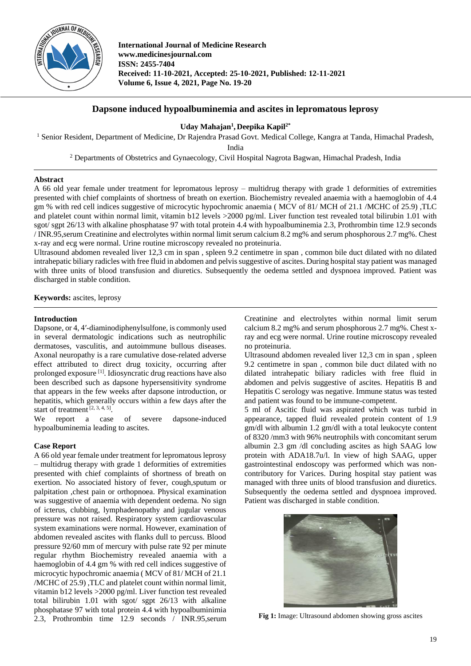

**International Journal of Medicine Research www.medicinesjournal.com ISSN: 2455-7404 Received: 11-10-2021, Accepted: 25-10-2021, Published: 12-11-2021 Volume 6, Issue 4, 2021, Page No. 19-20**

# **Dapsone induced hypoalbuminemia and ascites in lepromatous leprosy**

**Uday Mahajan<sup>1</sup> , Deepika Kapil2\***

<sup>1</sup> Senior Resident, Department of Medicine, Dr Rajendra Prasad Govt. Medical College, Kangra at Tanda, Himachal Pradesh, India

<sup>2</sup> Departments of Obstetrics and Gynaecology, Civil Hospital Nagrota Bagwan, Himachal Pradesh, India

### **Abstract**

A 66 old year female under treatment for lepromatous leprosy – multidrug therapy with grade 1 deformities of extremities presented with chief complaints of shortness of breath on exertion. Biochemistry revealed anaemia with a haemoglobin of 4.4 gm % with red cell indices suggestive of microcytic hypochromic anaemia ( MCV of 81/ MCH of 21.1 /MCHC of 25.9) ,TLC and platelet count within normal limit, vitamin b12 levels >2000 pg/ml. Liver function test revealed total bilirubin 1.01 with sgot/ sgpt 26/13 with alkaline phosphatase 97 with total protein 4.4 with hypoalbuminemia 2.3, Prothrombin time 12.9 seconds / INR.95,serum Creatinine and electrolytes within normal limit serum calcium 8.2 mg% and serum phosphorous 2.7 mg%. Chest x-ray and ecg were normal. Urine routine microscopy revealed no proteinuria.

Ultrasound abdomen revealed liver 12,3 cm in span , spleen 9.2 centimetre in span , common bile duct dilated with no dilated intrahepatic biliary radicles with free fluid in abdomen and pelvis suggestive of ascites. During hospital stay patient was managed with three units of blood transfusion and diuretics. Subsequently the oedema settled and dyspnoea improved. Patient was discharged in stable condition.

**Keywords:** ascites, leprosy

#### **Introduction**

Dapsone, or 4, 4′-diaminodiphenylsulfone, is commonly used in several dermatologic indications such as neutrophilic dermatoses, vasculitis, and autoimmune bullous diseases. Axonal neuropathy is a rare cumulative dose-related adverse effect attributed to direct drug toxicity, occurring after prolonged exposure [1] . Idiosyncratic drug reactions have also been described such as dapsone hypersensitivity syndrome that appears in the few weeks after dapsone introduction, or hepatitis, which generally occurs within a few days after the start of treatment  $[2, 3, 4, 5]$ .

We report a case of severe dapsone-induced hypoalbuminemia leading to ascites.

## **Case Report**

A 66 old year female under treatment for lepromatous leprosy – multidrug therapy with grade 1 deformities of extremities presented with chief complaints of shortness of breath on exertion. No associated history of fever, cough,sputum or palpitation ,chest pain or orthopnoea. Physical examination was suggestive of anaemia with dependent oedema. No sign of icterus, clubbing, lymphadenopathy and jugular venous pressure was not raised. Respiratory system cardiovascular system examinations were normal. However, examination of abdomen revealed ascites with flanks dull to percuss. Blood pressure 92/60 mm of mercury with pulse rate 92 per minute regular rhythm Biochemistry revealed anaemia with a haemoglobin of 4.4 gm % with red cell indices suggestive of microcytic hypochromic anaemia ( MCV of 81/ MCH of 21.1 /MCHC of 25.9) ,TLC and platelet count within normal limit, vitamin b12 levels >2000 pg/ml. Liver function test revealed total bilirubin 1.01 with sgot/ sgpt 26/13 with alkaline phosphatase 97 with total protein 4.4 with hypoalbuminimia 2.3, Prothrombin time 12.9 seconds / INR.95,serum

Creatinine and electrolytes within normal limit serum calcium 8.2 mg% and serum phosphorous 2.7 mg%. Chest xray and ecg were normal. Urine routine microscopy revealed no proteinuria.

Ultrasound abdomen revealed liver 12,3 cm in span , spleen 9.2 centimetre in span , common bile duct dilated with no dilated intrahepatic biliary radicles with free fluid in abdomen and pelvis suggestive of ascites. Hepatitis B and Hepatitis C serology was negative. Immune status was tested and patient was found to be immune-competent.

5 ml of Ascitic fluid was aspirated which was turbid in appearance, tapped fluid revealed protein content of 1.9 gm/dl with albumin 1.2 gm/dl with a total leukocyte content of 8320 /mm3 with 96% neutrophils with concomitant serum albumin 2.3 gm /dl concluding ascites as high SAAG low protein with ADA18.7u/l. In view of high SAAG, upper gastrointestinal endoscopy was performed which was noncontributory for Varices. During hospital stay patient was managed with three units of blood transfusion and diuretics. Subsequently the oedema settled and dyspnoea improved. Patient was discharged in stable condition.



**Fig 1:** Image: Ultrasound abdomen showing gross ascites